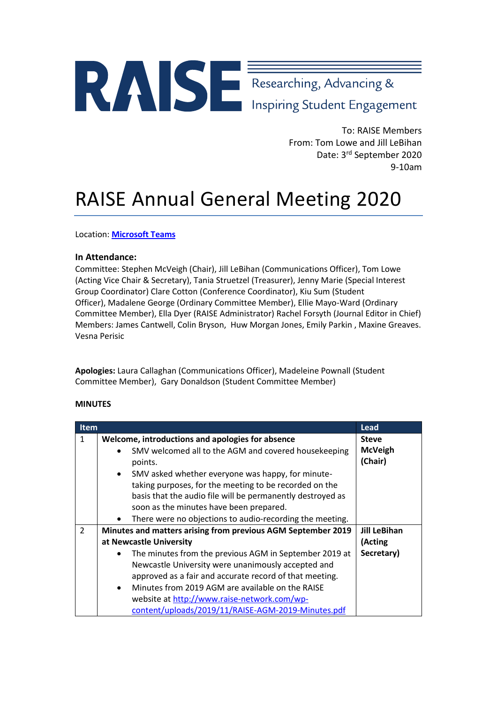## Researching, Advancing &

To: RAISE Members From: Tom Lowe and Jill LeBihan Date: 3<sup>rd</sup> September 2020 9-10am

## RAISE Annual General Meeting 2020

Location: **[Microsoft Teams](https://teams.microsoft.com/l/meetup-join/19%3ameeting_MzNlM2NjOTYtNTkyOC00ZjkzLWEyZWItMWU4N2U3OGQzNGY2%40thread.v2/0?context=%7b%22Tid%22%3a%229ef0ad7d-eaab-48a5-a07a-fbb82033fa03%22%2c%22Oid%22%3a%22cd4a438b-64e6-4fd9-a1b5-5681e39eca50%22%7d)**

## **In Attendance:**

Committee: Stephen McVeigh (Chair), Jill LeBihan (Communications Officer), Tom Lowe (Acting Vice Chair & Secretary), Tania Struetzel (Treasurer), Jenny Marie (Special Interest Group Coordinator) Clare Cotton (Conference Coordinator), Kiu Sum (Student Officer), Madalene George (Ordinary Committee Member), Ellie Mayo-Ward (Ordinary Committee Member), Ella Dyer (RAISE Administrator) Rachel Forsyth (Journal Editor in Chief) Members: James Cantwell, Colin Bryson, Huw Morgan Jones, Emily Parkin , Maxine Greaves. Vesna Perisic

**Apologies:** Laura Callaghan (Communications Officer), Madeleine Pownall (Student Committee Member), Gary Donaldson (Student Committee Member)

## **MINUTES**

|                | Item                                                                  |                     |
|----------------|-----------------------------------------------------------------------|---------------------|
| 1              | Welcome, introductions and apologies for absence                      | <b>Steve</b>        |
|                | SMV welcomed all to the AGM and covered housekeeping<br>$\bullet$     | <b>McVeigh</b>      |
|                | points.                                                               | (Chair)             |
|                | SMV asked whether everyone was happy, for minute-<br>$\bullet$        |                     |
|                | taking purposes, for the meeting to be recorded on the                |                     |
|                | basis that the audio file will be permanently destroyed as            |                     |
|                | soon as the minutes have been prepared.                               |                     |
|                | There were no objections to audio-recording the meeting.<br>$\bullet$ |                     |
| $\overline{2}$ | Minutes and matters arising from previous AGM September 2019          | <b>Jill LeBihan</b> |
|                | at Newcastle University                                               | (Acting             |
|                | The minutes from the previous AGM in September 2019 at<br>$\bullet$   | Secretary)          |
|                | Newcastle University were unanimously accepted and                    |                     |
|                | approved as a fair and accurate record of that meeting.               |                     |
|                | Minutes from 2019 AGM are available on the RAISE<br>$\bullet$         |                     |
|                | website at http://www.raise-network.com/wp-                           |                     |
|                | content/uploads/2019/11/RAISE-AGM-2019-Minutes.pdf                    |                     |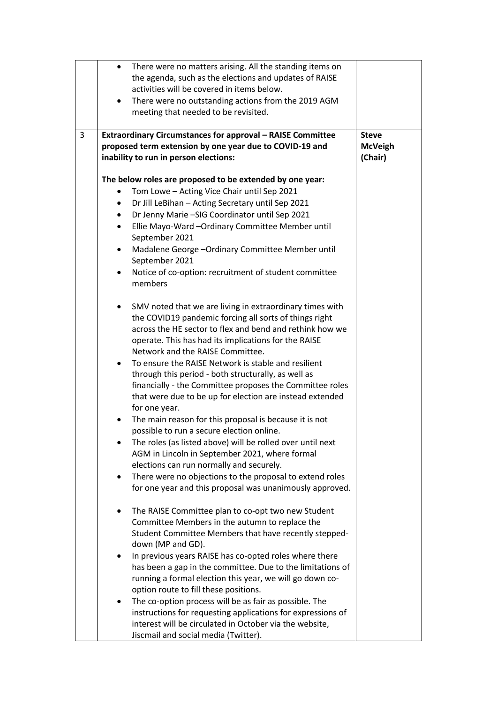|   | There were no matters arising. All the standing items on<br>$\bullet$<br>the agenda, such as the elections and updates of RAISE<br>activities will be covered in items below.<br>There were no outstanding actions from the 2019 AGM<br>$\bullet$<br>meeting that needed to be revisited. |                                           |
|---|-------------------------------------------------------------------------------------------------------------------------------------------------------------------------------------------------------------------------------------------------------------------------------------------|-------------------------------------------|
| 3 | <b>Extraordinary Circumstances for approval - RAISE Committee</b><br>proposed term extension by one year due to COVID-19 and<br>inability to run in person elections:                                                                                                                     | <b>Steve</b><br><b>McVeigh</b><br>(Chair) |
|   | The below roles are proposed to be extended by one year:                                                                                                                                                                                                                                  |                                           |
|   | Tom Lowe - Acting Vice Chair until Sep 2021<br>$\bullet$                                                                                                                                                                                                                                  |                                           |
|   | Dr Jill LeBihan - Acting Secretary until Sep 2021<br>$\bullet$                                                                                                                                                                                                                            |                                           |
|   | Dr Jenny Marie - SIG Coordinator until Sep 2021<br>$\bullet$                                                                                                                                                                                                                              |                                           |
|   | Ellie Mayo-Ward -Ordinary Committee Member until<br>$\bullet$<br>September 2021                                                                                                                                                                                                           |                                           |
|   | Madalene George - Ordinary Committee Member until<br>$\bullet$<br>September 2021                                                                                                                                                                                                          |                                           |
|   | Notice of co-option: recruitment of student committee<br>$\bullet$<br>members                                                                                                                                                                                                             |                                           |
|   | SMV noted that we are living in extraordinary times with<br>$\bullet$<br>the COVID19 pandemic forcing all sorts of things right<br>across the HE sector to flex and bend and rethink how we<br>operate. This has had its implications for the RAISE<br>Network and the RAISE Committee.   |                                           |
|   | To ensure the RAISE Network is stable and resilient<br>$\bullet$<br>through this period - both structurally, as well as<br>financially - the Committee proposes the Committee roles<br>that were due to be up for election are instead extended<br>for one year.                          |                                           |
|   | The main reason for this proposal is because it is not<br>possible to run a secure election online.                                                                                                                                                                                       |                                           |
|   | The roles (as listed above) will be rolled over until next<br>٠<br>AGM in Lincoln in September 2021, where formal<br>elections can run normally and securely.                                                                                                                             |                                           |
|   | There were no objections to the proposal to extend roles<br>$\bullet$<br>for one year and this proposal was unanimously approved.                                                                                                                                                         |                                           |
|   | The RAISE Committee plan to co-opt two new Student<br>٠<br>Committee Members in the autumn to replace the<br>Student Committee Members that have recently stepped-<br>down (MP and GD).                                                                                                   |                                           |
|   | In previous years RAISE has co-opted roles where there<br>has been a gap in the committee. Due to the limitations of<br>running a formal election this year, we will go down co-<br>option route to fill these positions.                                                                 |                                           |
|   | The co-option process will be as fair as possible. The<br>٠<br>instructions for requesting applications for expressions of<br>interest will be circulated in October via the website,<br>Jiscmail and social media (Twitter).                                                             |                                           |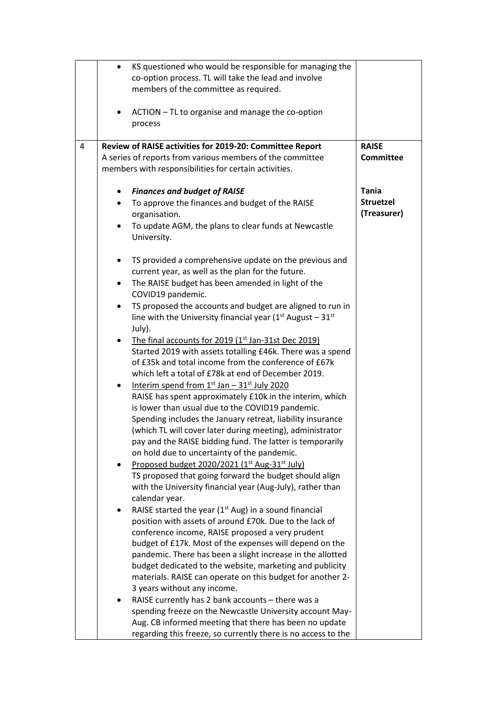|   | $\bullet$ | KS questioned who would be responsible for managing the         |                  |
|---|-----------|-----------------------------------------------------------------|------------------|
|   |           | co-option process. TL will take the lead and involve            |                  |
|   |           | members of the committee as required.                           |                  |
|   |           |                                                                 |                  |
|   | ٠         | ACTION - TL to organise and manage the co-option                |                  |
|   |           | process                                                         |                  |
|   |           |                                                                 |                  |
| 4 |           | Review of RAISE activities for 2019-20: Committee Report        | <b>RAISE</b>     |
|   |           | A series of reports from various members of the committee       | <b>Committee</b> |
|   |           | members with responsibilities for certain activities.           |                  |
|   |           |                                                                 |                  |
|   |           | <b>Finances and budget of RAISE</b>                             | <b>Tania</b>     |
|   |           | To approve the finances and budget of the RAISE                 | <b>Struetzel</b> |
|   |           | organisation.                                                   | (Treasurer)      |
|   | ٠         | To update AGM, the plans to clear funds at Newcastle            |                  |
|   |           | University.                                                     |                  |
|   |           |                                                                 |                  |
|   |           | TS provided a comprehensive update on the previous and          |                  |
|   |           | current year, as well as the plan for the future.               |                  |
|   |           | The RAISE budget has been amended in light of the               |                  |
|   | $\bullet$ |                                                                 |                  |
|   |           | COVID19 pandemic.                                               |                  |
|   | $\bullet$ | TS proposed the accounts and budget are aligned to run in       |                  |
|   |           | line with the University financial year ( $1st$ August – $31st$ |                  |
|   |           | July).                                                          |                  |
|   |           | The final accounts for 2019 (1 <sup>st</sup> Jan-31st Dec 2019) |                  |
|   |           | Started 2019 with assets totalling £46k. There was a spend      |                  |
|   |           | of £35k and total income from the conference of £67k            |                  |
|   |           | which left a total of £78k at end of December 2019.             |                  |
|   | ٠         | Interim spend from $1^{st}$ Jan - $31^{st}$ July 2020           |                  |
|   |           | RAISE has spent approximately £10k in the interim, which        |                  |
|   |           | is lower than usual due to the COVID19 pandemic.                |                  |
|   |           | Spending includes the January retreat, liability insurance      |                  |
|   |           | (which TL will cover later during meeting), administrator       |                  |
|   |           | pay and the RAISE bidding fund. The latter is temporarily       |                  |
|   |           | on hold due to uncertainty of the pandemic.                     |                  |
|   |           | Proposed budget 2020/2021 (1st Aug-31st July)                   |                  |
|   |           | TS proposed that going forward the budget should align          |                  |
|   |           | with the University financial year (Aug-July), rather than      |                  |
|   |           | calendar year.                                                  |                  |
|   |           | RAISE started the year $(1st Aug)$ in a sound financial         |                  |
|   |           | position with assets of around £70k. Due to the lack of         |                  |
|   |           | conference income, RAISE proposed a very prudent                |                  |
|   |           | budget of £17k. Most of the expenses will depend on the         |                  |
|   |           | pandemic. There has been a slight increase in the allotted      |                  |
|   |           | budget dedicated to the website, marketing and publicity        |                  |
|   |           | materials. RAISE can operate on this budget for another 2-      |                  |
|   |           | 3 years without any income.                                     |                  |
|   |           | RAISE currently has 2 bank accounts - there was a               |                  |
|   |           | spending freeze on the Newcastle University account May-        |                  |
|   |           | Aug. CB informed meeting that there has been no update          |                  |
|   |           |                                                                 |                  |
|   |           | regarding this freeze, so currently there is no access to the   |                  |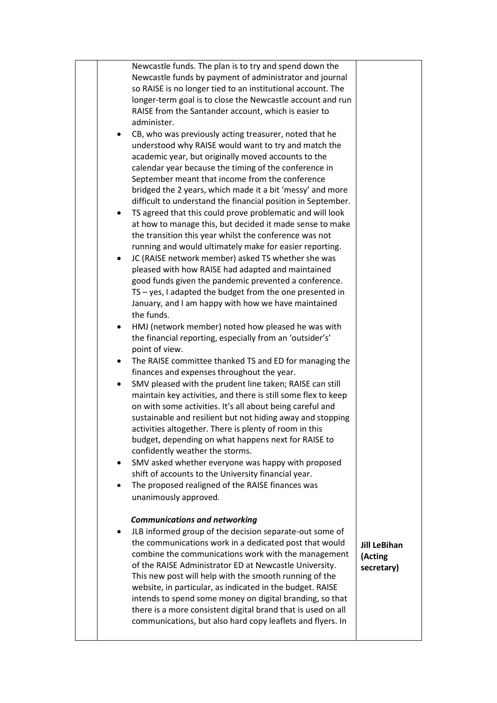| $\bullet$<br>٠<br>٠ | Newcastle funds. The plan is to try and spend down the<br>Newcastle funds by payment of administrator and journal<br>so RAISE is no longer tied to an institutional account. The<br>longer-term goal is to close the Newcastle account and run<br>RAISE from the Santander account, which is easier to<br>administer.<br>CB, who was previously acting treasurer, noted that he<br>understood why RAISE would want to try and match the<br>academic year, but originally moved accounts to the<br>calendar year because the timing of the conference in<br>September meant that income from the conference<br>bridged the 2 years, which made it a bit 'messy' and more<br>difficult to understand the financial position in September.<br>TS agreed that this could prove problematic and will look<br>at how to manage this, but decided it made sense to make<br>the transition this year whilst the conference was not<br>running and would ultimately make for easier reporting.<br>JC (RAISE network member) asked TS whether she was<br>pleased with how RAISE had adapted and maintained<br>good funds given the pandemic prevented a conference.<br>TS - yes, I adapted the budget from the one presented in<br>January, and I am happy with how we have maintained<br>the funds.<br>HMJ (network member) noted how pleased he was with<br>the financial reporting, especially from an 'outsider's'<br>point of view.<br>The RAISE committee thanked TS and ED for managing the<br>finances and expenses throughout the year.<br>SMV pleased with the prudent line taken; RAISE can still<br>maintain key activities, and there is still some flex to keep<br>on with some activities. It's all about being careful and<br>sustainable and resilient but not hiding away and stopping<br>activities altogether. There is plenty of room in this<br>budget, depending on what happens next for RAISE to<br>confidently weather the storms.<br>SMV asked whether everyone was happy with proposed<br>shift of accounts to the University financial year.<br>The proposed realigned of the RAISE finances was<br>unanimously approved. |                                              |
|---------------------|----------------------------------------------------------------------------------------------------------------------------------------------------------------------------------------------------------------------------------------------------------------------------------------------------------------------------------------------------------------------------------------------------------------------------------------------------------------------------------------------------------------------------------------------------------------------------------------------------------------------------------------------------------------------------------------------------------------------------------------------------------------------------------------------------------------------------------------------------------------------------------------------------------------------------------------------------------------------------------------------------------------------------------------------------------------------------------------------------------------------------------------------------------------------------------------------------------------------------------------------------------------------------------------------------------------------------------------------------------------------------------------------------------------------------------------------------------------------------------------------------------------------------------------------------------------------------------------------------------------------------------------------------------------------------------------------------------------------------------------------------------------------------------------------------------------------------------------------------------------------------------------------------------------------------------------------------------------------------------------------------------------------------------------------------------------------------------------------------------------------------------------------|----------------------------------------------|
| ٠                   | <b>Communications and networking</b><br>JLB informed group of the decision separate-out some of<br>the communications work in a dedicated post that would<br>combine the communications work with the management<br>of the RAISE Administrator ED at Newcastle University.<br>This new post will help with the smooth running of the<br>website, in particular, as indicated in the budget. RAISE<br>intends to spend some money on digital branding, so that<br>there is a more consistent digital brand that is used on all<br>communications, but also hard copy leaflets and flyers. In                                                                                                                                                                                                                                                                                                                                                                                                                                                                                                                                                                                                                                                                                                                                                                                                                                                                                                                                                                                                                                                                                                                                                                                                                                                                                                                                                                                                                                                                                                                                                  | <b>Jill LeBihan</b><br>(Acting<br>secretary) |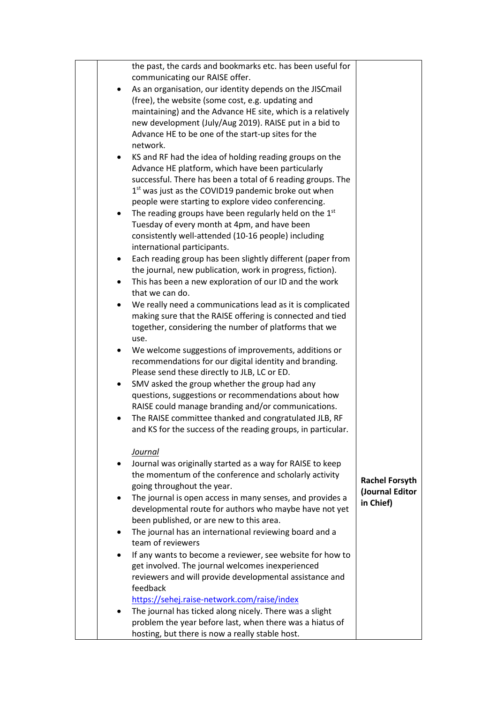|           | the past, the cards and bookmarks etc. has been useful for                                                         |                       |
|-----------|--------------------------------------------------------------------------------------------------------------------|-----------------------|
|           | communicating our RAISE offer.                                                                                     |                       |
|           | As an organisation, our identity depends on the JISCmail                                                           |                       |
|           | (free), the website (some cost, e.g. updating and                                                                  |                       |
|           | maintaining) and the Advance HE site, which is a relatively                                                        |                       |
|           | new development (July/Aug 2019). RAISE put in a bid to                                                             |                       |
|           | Advance HE to be one of the start-up sites for the                                                                 |                       |
|           | network.                                                                                                           |                       |
| $\bullet$ | KS and RF had the idea of holding reading groups on the<br>Advance HE platform, which have been particularly       |                       |
|           | successful. There has been a total of 6 reading groups. The                                                        |                       |
|           | 1 <sup>st</sup> was just as the COVID19 pandemic broke out when                                                    |                       |
|           | people were starting to explore video conferencing.                                                                |                       |
| ٠         | The reading groups have been regularly held on the 1st                                                             |                       |
|           | Tuesday of every month at 4pm, and have been                                                                       |                       |
|           | consistently well-attended (10-16 people) including                                                                |                       |
|           | international participants.                                                                                        |                       |
| ٠         | Each reading group has been slightly different (paper from                                                         |                       |
|           | the journal, new publication, work in progress, fiction).                                                          |                       |
| $\bullet$ | This has been a new exploration of our ID and the work                                                             |                       |
|           | that we can do.                                                                                                    |                       |
| $\bullet$ | We really need a communications lead as it is complicated                                                          |                       |
|           | making sure that the RAISE offering is connected and tied<br>together, considering the number of platforms that we |                       |
|           | use.                                                                                                               |                       |
|           | We welcome suggestions of improvements, additions or                                                               |                       |
|           | recommendations for our digital identity and branding.                                                             |                       |
|           | Please send these directly to JLB, LC or ED.                                                                       |                       |
| ٠         | SMV asked the group whether the group had any                                                                      |                       |
|           | questions, suggestions or recommendations about how                                                                |                       |
|           | RAISE could manage branding and/or communications.                                                                 |                       |
|           | The RAISE committee thanked and congratulated JLB, RF                                                              |                       |
|           | and KS for the success of the reading groups, in particular.                                                       |                       |
|           |                                                                                                                    |                       |
|           | Journal                                                                                                            |                       |
|           | Journal was originally started as a way for RAISE to keep<br>the momentum of the conference and scholarly activity |                       |
|           | going throughout the year.                                                                                         | <b>Rachel Forsyth</b> |
|           | The journal is open access in many senses, and provides a                                                          | (Journal Editor       |
|           | developmental route for authors who maybe have not yet                                                             | in Chief)             |
|           | been published, or are new to this area.                                                                           |                       |
| ٠         | The journal has an international reviewing board and a                                                             |                       |
|           | team of reviewers                                                                                                  |                       |
|           | If any wants to become a reviewer, see website for how to                                                          |                       |
|           | get involved. The journal welcomes inexperienced                                                                   |                       |
|           | reviewers and will provide developmental assistance and                                                            |                       |
|           | feedback                                                                                                           |                       |
| $\bullet$ | https://sehej.raise-network.com/raise/index<br>The journal has ticked along nicely. There was a slight             |                       |
|           | problem the year before last, when there was a hiatus of                                                           |                       |
|           | hosting, but there is now a really stable host.                                                                    |                       |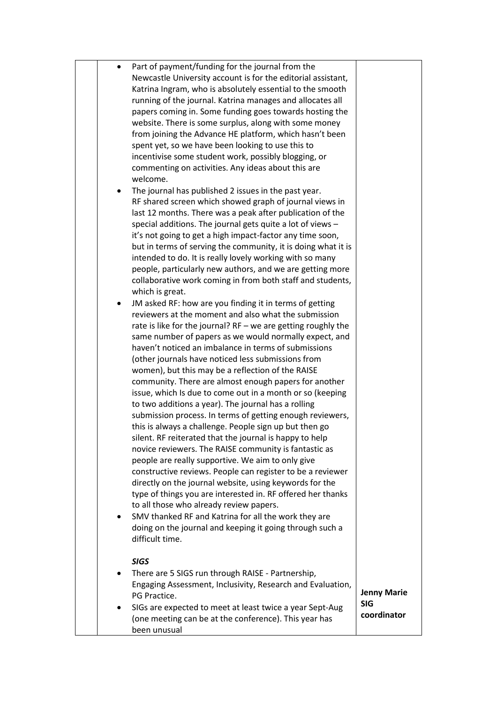| $\bullet$ | Part of payment/funding for the journal from the                |                    |
|-----------|-----------------------------------------------------------------|--------------------|
|           | Newcastle University account is for the editorial assistant,    |                    |
|           | Katrina Ingram, who is absolutely essential to the smooth       |                    |
|           |                                                                 |                    |
|           | running of the journal. Katrina manages and allocates all       |                    |
|           | papers coming in. Some funding goes towards hosting the         |                    |
|           | website. There is some surplus, along with some money           |                    |
|           | from joining the Advance HE platform, which hasn't been         |                    |
|           | spent yet, so we have been looking to use this to               |                    |
|           | incentivise some student work, possibly blogging, or            |                    |
|           |                                                                 |                    |
|           | commenting on activities. Any ideas about this are              |                    |
|           | welcome.                                                        |                    |
|           | The journal has published 2 issues in the past year.            |                    |
|           | RF shared screen which showed graph of journal views in         |                    |
|           | last 12 months. There was a peak after publication of the       |                    |
|           | special additions. The journal gets quite a lot of views -      |                    |
|           | it's not going to get a high impact-factor any time soon,       |                    |
|           |                                                                 |                    |
|           | but in terms of serving the community, it is doing what it is   |                    |
|           | intended to do. It is really lovely working with so many        |                    |
|           | people, particularly new authors, and we are getting more       |                    |
|           | collaborative work coming in from both staff and students,      |                    |
|           | which is great.                                                 |                    |
| ٠         | JM asked RF: how are you finding it in terms of getting         |                    |
|           | reviewers at the moment and also what the submission            |                    |
|           |                                                                 |                    |
|           | rate is like for the journal? $RF -$ we are getting roughly the |                    |
|           | same number of papers as we would normally expect, and          |                    |
|           | haven't noticed an imbalance in terms of submissions            |                    |
|           | (other journals have noticed less submissions from              |                    |
|           | women), but this may be a reflection of the RAISE               |                    |
|           | community. There are almost enough papers for another           |                    |
|           | issue, which Is due to come out in a month or so (keeping       |                    |
|           | to two additions a year). The journal has a rolling             |                    |
|           |                                                                 |                    |
|           | submission process. In terms of getting enough reviewers,       |                    |
|           | this is always a challenge. People sign up but then go          |                    |
|           | silent. RF reiterated that the journal is happy to help         |                    |
|           | novice reviewers. The RAISE community is fantastic as           |                    |
|           | people are really supportive. We aim to only give               |                    |
|           | constructive reviews. People can register to be a reviewer      |                    |
|           | directly on the journal website, using keywords for the         |                    |
|           |                                                                 |                    |
|           | type of things you are interested in. RF offered her thanks     |                    |
|           | to all those who already review papers.                         |                    |
|           | SMV thanked RF and Katrina for all the work they are            |                    |
|           | doing on the journal and keeping it going through such a        |                    |
|           | difficult time.                                                 |                    |
|           |                                                                 |                    |
|           | <b>SIGS</b>                                                     |                    |
|           | There are 5 SIGS run through RAISE - Partnership,               |                    |
|           | Engaging Assessment, Inclusivity, Research and Evaluation,      |                    |
|           |                                                                 | <b>Jenny Marie</b> |
|           | PG Practice.                                                    | <b>SIG</b>         |
|           | SIGs are expected to meet at least twice a year Sept-Aug        | coordinator        |
|           | (one meeting can be at the conference). This year has           |                    |
|           | been unusual                                                    |                    |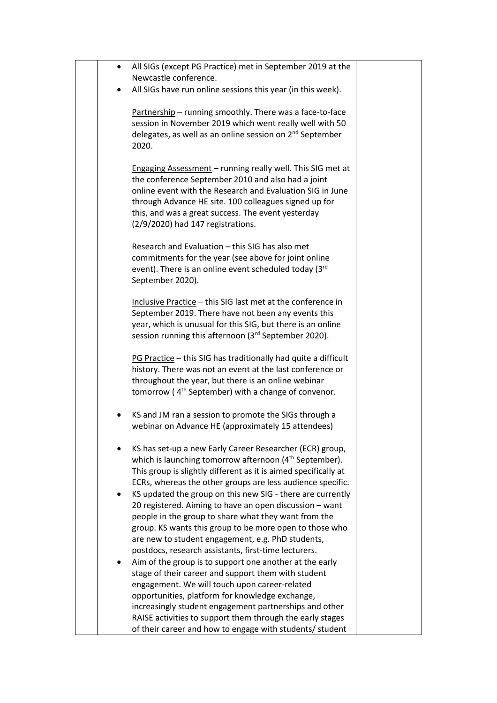| $\bullet$ | All SIGs (except PG Practice) met in September 2019 at the                                                                                                                                                                                                                                                                                                                                                                                       |  |
|-----------|--------------------------------------------------------------------------------------------------------------------------------------------------------------------------------------------------------------------------------------------------------------------------------------------------------------------------------------------------------------------------------------------------------------------------------------------------|--|
|           | Newcastle conference.                                                                                                                                                                                                                                                                                                                                                                                                                            |  |
|           | All SIGs have run online sessions this year (in this week).                                                                                                                                                                                                                                                                                                                                                                                      |  |
|           | Partnership - running smoothly. There was a face-to-face<br>session in November 2019 which went really well with 50<br>delegates, as well as an online session on 2 <sup>nd</sup> September<br>2020.                                                                                                                                                                                                                                             |  |
|           | Engaging Assessment - running really well. This SIG met at<br>the conference September 2010 and also had a joint<br>online event with the Research and Evaluation SIG in June<br>through Advance HE site. 100 colleagues signed up for<br>this, and was a great success. The event yesterday<br>(2/9/2020) had 147 registrations.                                                                                                                |  |
|           | Research and Evaluation - this SIG has also met<br>commitments for the year (see above for joint online<br>event). There is an online event scheduled today (3rd<br>September 2020).                                                                                                                                                                                                                                                             |  |
|           | Inclusive Practice - this SIG last met at the conference in<br>September 2019. There have not been any events this<br>year, which is unusual for this SIG, but there is an online<br>session running this afternoon (3rd September 2020).                                                                                                                                                                                                        |  |
|           | PG Practice - this SIG has traditionally had quite a difficult<br>history. There was not an event at the last conference or<br>throughout the year, but there is an online webinar<br>tomorrow (4 <sup>th</sup> September) with a change of convenor.                                                                                                                                                                                            |  |
|           | KS and JM ran a session to promote the SIGs through a<br>webinar on Advance HE (approximately 15 attendees)                                                                                                                                                                                                                                                                                                                                      |  |
|           | KS has set-up a new Early Career Researcher (ECR) group,<br>which is launching tomorrow afternoon (4 <sup>th</sup> September).<br>This group is slightly different as it is aimed specifically at<br>ECRs, whereas the other groups are less audience specific.<br>KS updated the group on this new SIG - there are currently<br>20 registered. Aiming to have an open discussion - want<br>people in the group to share what they want from the |  |
|           | group. KS wants this group to be more open to those who<br>are new to student engagement, e.g. PhD students,<br>postdocs, research assistants, first-time lecturers.                                                                                                                                                                                                                                                                             |  |
|           | Aim of the group is to support one another at the early<br>stage of their career and support them with student<br>engagement. We will touch upon career-related<br>opportunities, platform for knowledge exchange,                                                                                                                                                                                                                               |  |
|           | increasingly student engagement partnerships and other<br>RAISE activities to support them through the early stages<br>of their career and how to engage with students/ student                                                                                                                                                                                                                                                                  |  |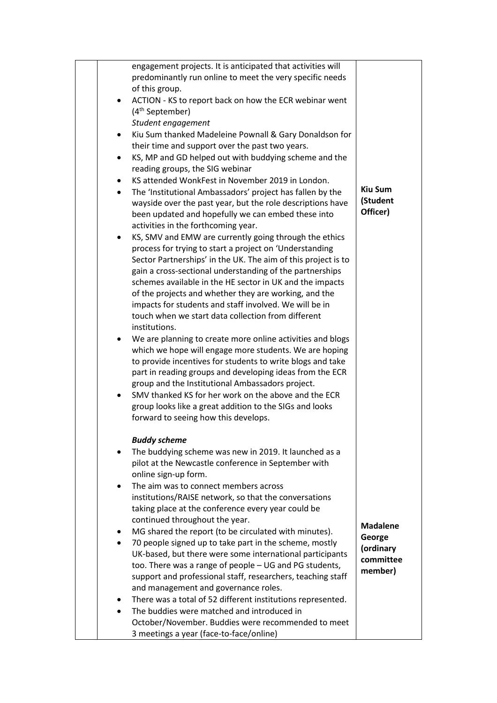|  |           | engagement projects. It is anticipated that activities will                          |                 |
|--|-----------|--------------------------------------------------------------------------------------|-----------------|
|  |           | predominantly run online to meet the very specific needs                             |                 |
|  |           | of this group.                                                                       |                 |
|  | ٠         | ACTION - KS to report back on how the ECR webinar went                               |                 |
|  |           | (4 <sup>th</sup> September)<br>Student engagement                                    |                 |
|  | ٠         | Kiu Sum thanked Madeleine Pownall & Gary Donaldson for                               |                 |
|  |           | their time and support over the past two years.                                      |                 |
|  | $\bullet$ | KS, MP and GD helped out with buddying scheme and the                                |                 |
|  |           | reading groups, the SIG webinar                                                      |                 |
|  | $\bullet$ | KS attended WonkFest in November 2019 in London.                                     |                 |
|  | $\bullet$ | The 'Institutional Ambassadors' project has fallen by the                            | <b>Kiu Sum</b>  |
|  |           | wayside over the past year, but the role descriptions have                           | (Student        |
|  |           | been updated and hopefully we can embed these into                                   | Officer)        |
|  |           | activities in the forthcoming year.                                                  |                 |
|  | $\bullet$ | KS, SMV and EMW are currently going through the ethics                               |                 |
|  |           | process for trying to start a project on 'Understanding                              |                 |
|  |           | Sector Partnerships' in the UK. The aim of this project is to                        |                 |
|  |           | gain a cross-sectional understanding of the partnerships                             |                 |
|  |           | schemes available in the HE sector in UK and the impacts                             |                 |
|  |           | of the projects and whether they are working, and the                                |                 |
|  |           | impacts for students and staff involved. We will be in                               |                 |
|  |           | touch when we start data collection from different<br>institutions.                  |                 |
|  | ٠         | We are planning to create more online activities and blogs                           |                 |
|  |           | which we hope will engage more students. We are hoping                               |                 |
|  |           | to provide incentives for students to write blogs and take                           |                 |
|  |           | part in reading groups and developing ideas from the ECR                             |                 |
|  |           | group and the Institutional Ambassadors project.                                     |                 |
|  |           | SMV thanked KS for her work on the above and the ECR                                 |                 |
|  |           | group looks like a great addition to the SIGs and looks                              |                 |
|  |           | forward to seeing how this develops.                                                 |                 |
|  |           | <b>Buddy scheme</b>                                                                  |                 |
|  | ٠         | The buddying scheme was new in 2019. It launched as a                                |                 |
|  |           | pilot at the Newcastle conference in September with                                  |                 |
|  |           | online sign-up form.                                                                 |                 |
|  |           | The aim was to connect members across                                                |                 |
|  |           | institutions/RAISE network, so that the conversations                                |                 |
|  |           | taking place at the conference every year could be<br>continued throughout the year. |                 |
|  | ٠         | MG shared the report (to be circulated with minutes).                                | <b>Madalene</b> |
|  | $\bullet$ | 70 people signed up to take part in the scheme, mostly                               | George          |
|  |           | UK-based, but there were some international participants                             | (ordinary       |
|  |           | too. There was a range of people - UG and PG students,                               | committee       |
|  |           | support and professional staff, researchers, teaching staff                          | member)         |
|  |           | and management and governance roles.                                                 |                 |
|  | ٠         | There was a total of 52 different institutions represented.                          |                 |
|  |           | The buddies were matched and introduced in                                           |                 |
|  |           | October/November. Buddies were recommended to meet                                   |                 |
|  |           | 3 meetings a year (face-to-face/online)                                              |                 |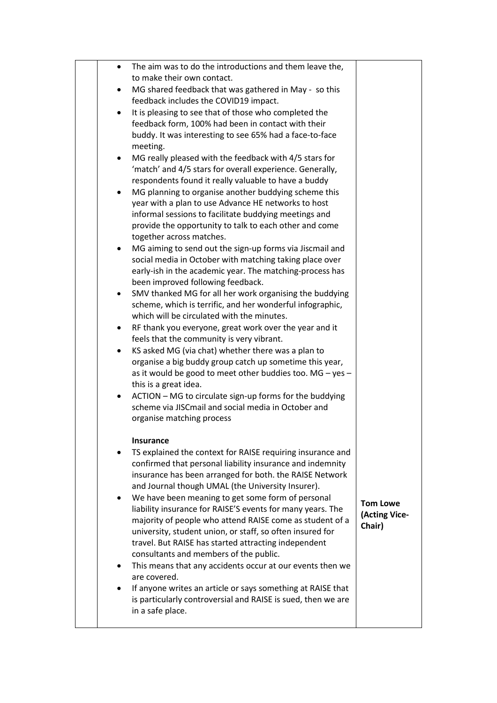|  | $\bullet$ | The aim was to do the introductions and them leave the,                                                              |                                  |
|--|-----------|----------------------------------------------------------------------------------------------------------------------|----------------------------------|
|  |           | to make their own contact.<br>MG shared feedback that was gathered in May - so this                                  |                                  |
|  |           | feedback includes the COVID19 impact.                                                                                |                                  |
|  | $\bullet$ | It is pleasing to see that of those who completed the                                                                |                                  |
|  |           | feedback form, 100% had been in contact with their                                                                   |                                  |
|  |           | buddy. It was interesting to see 65% had a face-to-face                                                              |                                  |
|  |           | meeting.                                                                                                             |                                  |
|  | $\bullet$ | MG really pleased with the feedback with 4/5 stars for<br>'match' and 4/5 stars for overall experience. Generally,   |                                  |
|  |           | respondents found it really valuable to have a buddy                                                                 |                                  |
|  | $\bullet$ | MG planning to organise another buddying scheme this                                                                 |                                  |
|  |           | year with a plan to use Advance HE networks to host                                                                  |                                  |
|  |           | informal sessions to facilitate buddying meetings and                                                                |                                  |
|  |           | provide the opportunity to talk to each other and come                                                               |                                  |
|  |           | together across matches.<br>MG aiming to send out the sign-up forms via Jiscmail and                                 |                                  |
|  |           | social media in October with matching taking place over                                                              |                                  |
|  |           | early-ish in the academic year. The matching-process has                                                             |                                  |
|  |           | been improved following feedback.                                                                                    |                                  |
|  |           | SMV thanked MG for all her work organising the buddying                                                              |                                  |
|  |           | scheme, which is terrific, and her wonderful infographic,                                                            |                                  |
|  | $\bullet$ | which will be circulated with the minutes.<br>RF thank you everyone, great work over the year and it                 |                                  |
|  |           | feels that the community is very vibrant.                                                                            |                                  |
|  | $\bullet$ | KS asked MG (via chat) whether there was a plan to                                                                   |                                  |
|  |           | organise a big buddy group catch up sometime this year,                                                              |                                  |
|  |           | as it would be good to meet other buddies too. MG - yes -                                                            |                                  |
|  |           | this is a great idea.                                                                                                |                                  |
|  | $\bullet$ | ACTION - MG to circulate sign-up forms for the buddying<br>scheme via JISCmail and social media in October and       |                                  |
|  |           | organise matching process                                                                                            |                                  |
|  |           |                                                                                                                      |                                  |
|  |           | <b>Insurance</b>                                                                                                     |                                  |
|  |           | TS explained the context for RAISE requiring insurance and                                                           |                                  |
|  |           | confirmed that personal liability insurance and indemnity<br>insurance has been arranged for both. the RAISE Network |                                  |
|  |           | and Journal though UMAL (the University Insurer).                                                                    |                                  |
|  |           | We have been meaning to get some form of personal                                                                    |                                  |
|  |           | liability insurance for RAISE'S events for many years. The                                                           | <b>Tom Lowe</b><br>(Acting Vice- |
|  |           | majority of people who attend RAISE come as student of a                                                             | Chair)                           |
|  |           | university, student union, or staff, so often insured for                                                            |                                  |
|  |           | travel. But RAISE has started attracting independent<br>consultants and members of the public.                       |                                  |
|  |           | This means that any accidents occur at our events then we                                                            |                                  |
|  |           | are covered.                                                                                                         |                                  |
|  |           | If anyone writes an article or says something at RAISE that                                                          |                                  |
|  |           | is particularly controversial and RAISE is sued, then we are                                                         |                                  |
|  |           | in a safe place.                                                                                                     |                                  |
|  |           |                                                                                                                      |                                  |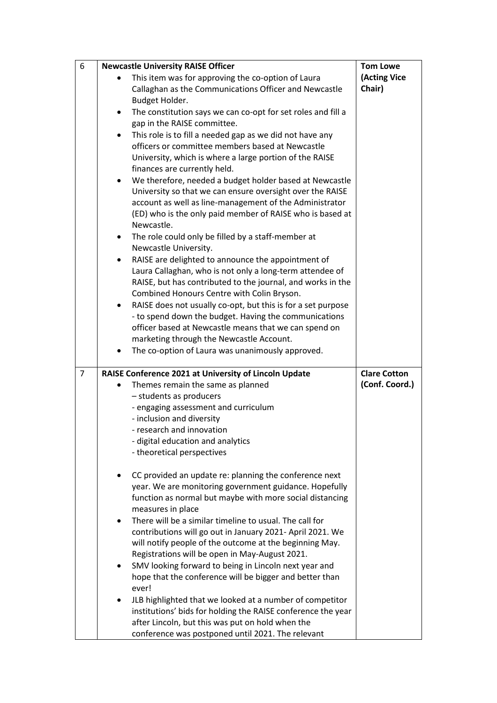| 6              | <b>Newcastle University RAISE Officer</b>                                                                               | <b>Tom Lowe</b>     |
|----------------|-------------------------------------------------------------------------------------------------------------------------|---------------------|
|                | This item was for approving the co-option of Laura                                                                      | (Acting Vice        |
|                | Callaghan as the Communications Officer and Newcastle                                                                   | Chair)              |
|                | Budget Holder.<br>The constitution says we can co-opt for set roles and fill a<br>$\bullet$                             |                     |
|                | gap in the RAISE committee.                                                                                             |                     |
|                | This role is to fill a needed gap as we did not have any<br>$\bullet$                                                   |                     |
|                | officers or committee members based at Newcastle                                                                        |                     |
|                | University, which is where a large portion of the RAISE<br>finances are currently held.                                 |                     |
|                | We therefore, needed a budget holder based at Newcastle<br>$\bullet$                                                    |                     |
|                | University so that we can ensure oversight over the RAISE                                                               |                     |
|                | account as well as line-management of the Administrator                                                                 |                     |
|                | (ED) who is the only paid member of RAISE who is based at<br>Newcastle.                                                 |                     |
|                | The role could only be filled by a staff-member at<br>$\bullet$                                                         |                     |
|                | Newcastle University.                                                                                                   |                     |
|                | RAISE are delighted to announce the appointment of                                                                      |                     |
|                | Laura Callaghan, who is not only a long-term attendee of<br>RAISE, but has contributed to the journal, and works in the |                     |
|                | Combined Honours Centre with Colin Bryson.                                                                              |                     |
|                | RAISE does not usually co-opt, but this is for a set purpose<br>$\bullet$                                               |                     |
|                | - to spend down the budget. Having the communications                                                                   |                     |
|                | officer based at Newcastle means that we can spend on                                                                   |                     |
|                | marketing through the Newcastle Account.                                                                                |                     |
|                | The co-option of Laura was unanimously approved.                                                                        |                     |
| $\overline{7}$ | RAISE Conference 2021 at University of Lincoln Update                                                                   | <b>Clare Cotton</b> |
|                | Themes remain the same as planned                                                                                       | (Conf. Coord.)      |
|                | - students as producers                                                                                                 |                     |
|                | - engaging assessment and curriculum                                                                                    |                     |
|                | - inclusion and diversity                                                                                               |                     |
|                | - research and innovation                                                                                               |                     |
|                | - digital education and analytics                                                                                       |                     |
|                | - theoretical perspectives                                                                                              |                     |
|                | CC provided an update re: planning the conference next                                                                  |                     |
|                | year. We are monitoring government guidance. Hopefully                                                                  |                     |
|                | function as normal but maybe with more social distancing                                                                |                     |
|                | measures in place                                                                                                       |                     |
|                | There will be a similar timeline to usual. The call for                                                                 |                     |
|                | contributions will go out in January 2021- April 2021. We                                                               |                     |
|                | will notify people of the outcome at the beginning May.                                                                 |                     |
|                | Registrations will be open in May-August 2021.<br>SMV looking forward to being in Lincoln next year and                 |                     |
|                | hope that the conference will be bigger and better than                                                                 |                     |
|                | ever!                                                                                                                   |                     |
|                | JLB highlighted that we looked at a number of competitor                                                                |                     |
|                | institutions' bids for holding the RAISE conference the year                                                            |                     |
|                |                                                                                                                         |                     |
|                | after Lincoln, but this was put on hold when the<br>conference was postponed until 2021. The relevant                   |                     |